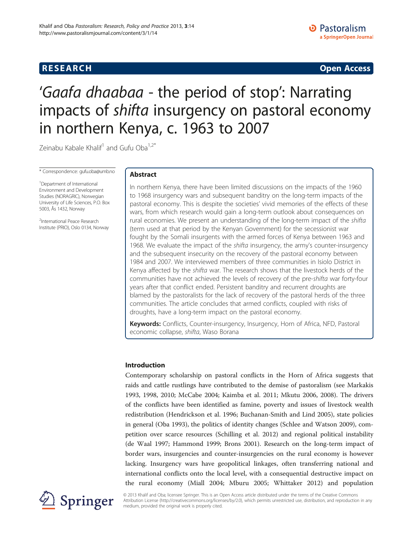# **RESEARCH CHINESE ARCH CHINESE ARCH CHINESE ARCH <b>CHINESE ARCH**

# 'Gaafa dhaabaa - the period of stop': Narrating impacts of shifta insurgency on pastoral economy in northern Kenya, c. 1963 to 2007

Zeinabu Kabale Khalif<sup>1</sup> and Gufu Oba<sup>1,2\*</sup>

\* Correspondence: gufu.oba@umb.no

<sup>1</sup>Department of International Environment and Development Studies (NORAGRIC), Norwegian University of Life Sciences, P.O. Box 5003, Ås 1432, Norway

<sup>2</sup>International Peace Research Institute (PRIO), Oslo 0134, Norway

# Abstract

In northern Kenya, there have been limited discussions on the impacts of the 1960 to 1968 insurgency wars and subsequent banditry on the long-term impacts of the pastoral economy. This is despite the societies' vivid memories of the effects of these wars, from which research would gain a long-term outlook about consequences on rural economies. We present an understanding of the long-term impact of the shifta (term used at that period by the Kenyan Government) for the secessionist war fought by the Somali insurgents with the armed forces of Kenya between 1963 and 1968. We evaluate the impact of the *shifta* insurgency, the army's counter-insurgency and the subsequent insecurity on the recovery of the pastoral economy between 1984 and 2007. We interviewed members of three communities in Isiolo District in Kenya affected by the shifta war. The research shows that the livestock herds of the communities have not achieved the levels of recovery of the pre-shifta war forty-four years after that conflict ended. Persistent banditry and recurrent droughts are blamed by the pastoralists for the lack of recovery of the pastoral herds of the three communities. The article concludes that armed conflicts, coupled with risks of droughts, have a long-term impact on the pastoral economy.

Keywords: Conflicts, Counter-insurgency, Insurgency, Horn of Africa, NFD, Pastoral economic collapse, shifta, Waso Borana

# Introduction

Contemporary scholarship on pastoral conflicts in the Horn of Africa suggests that raids and cattle rustlings have contributed to the demise of pastoralism (see Markakis [1993](#page-18-0), [1998, 2010](#page-18-0); McCabe [2004;](#page-19-0) Kaimba et al. [2011](#page-18-0); Mkutu [2006](#page-19-0), [2008\)](#page-19-0). The drivers of the conflicts have been identified as famine, poverty and issues of livestock wealth redistribution (Hendrickson et al. [1996](#page-18-0); Buchanan-Smith and Lind [2005](#page-18-0)), state policies in general (Oba [1993](#page-19-0)), the politics of identity changes (Schlee and Watson [2009\)](#page-19-0), competition over scarce resources (Schilling et al. [2012](#page-19-0)) and regional political instability (de Waal [1997;](#page-18-0) Hammond [1999](#page-18-0); Brons [2001](#page-18-0)). Research on the long-term impact of border wars, insurgencies and counter-insurgencies on the rural economy is however lacking. Insurgency wars have geopolitical linkages, often transferring national and international conflicts onto the local level, with a consequential destructive impact on the rural economy (Miall [2004;](#page-19-0) Mburu [2005;](#page-18-0) Whittaker [2012\)](#page-19-0) and population



© 2013 Khalif and Oba; licensee Springer. This is an Open Access article distributed under the terms of the Creative Commons Attribution License [\(http://creativecommons.org/licenses/by/2.0\)](http://creativecommons.org/licenses/by/2.0), which permits unrestricted use, distribution, and reproduction in any medium, provided the original work is properly cited.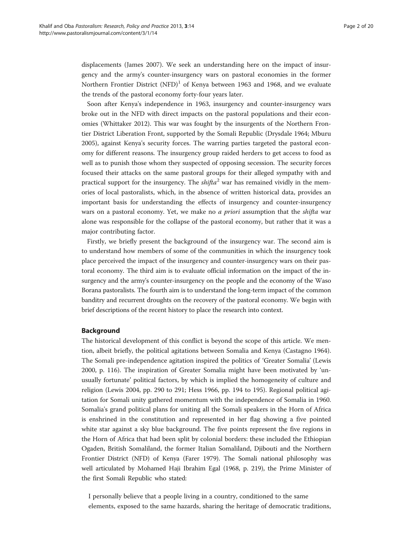displacements (James [2007](#page-18-0)). We seek an understanding here on the impact of insurgency and the army's counter-insurgency wars on pastoral economies in the former Northern Frontier District  $(NFD)^1$  of Kenya between 1963 and 1968, and we evaluate the trends of the pastoral economy forty-four years later.

Soon after Kenya's independence in 1963, insurgency and counter-insurgency wars broke out in the NFD with direct impacts on the pastoral populations and their economies (Whittaker [2012\)](#page-19-0). This war was fought by the insurgents of the Northern Frontier District Liberation Front, supported by the Somali Republic (Drysdale [1964;](#page-18-0) Mburu [2005](#page-18-0)), against Kenya's security forces. The warring parties targeted the pastoral economy for different reasons. The insurgency group raided herders to get access to food as well as to punish those whom they suspected of opposing secession. The security forces focused their attacks on the same pastoral groups for their alleged sympathy with and practical support for the insurgency. The  $\text{shifta}^2$  war has remained vividly in the memories of local pastoralists, which, in the absence of written historical data, provides an important basis for understanding the effects of insurgency and counter-insurgency wars on a pastoral economy. Yet, we make no *a priori* assumption that the *shifta* war alone was responsible for the collapse of the pastoral economy, but rather that it was a major contributing factor.

Firstly, we briefly present the background of the insurgency war. The second aim is to understand how members of some of the communities in which the insurgency took place perceived the impact of the insurgency and counter-insurgency wars on their pastoral economy. The third aim is to evaluate official information on the impact of the insurgency and the army's counter-insurgency on the people and the economy of the Waso Borana pastoralists. The fourth aim is to understand the long-term impact of the common banditry and recurrent droughts on the recovery of the pastoral economy. We begin with brief descriptions of the recent history to place the research into context.

#### Background

The historical development of this conflict is beyond the scope of this article. We mention, albeit briefly, the political agitations between Somalia and Kenya (Castagno [1964](#page-18-0)). The Somali pre-independence agitation inspired the politics of 'Greater Somalia' (Lewis [2000](#page-18-0), p. 116). The inspiration of Greater Somalia might have been motivated by 'unusually fortunate' political factors, by which is implied the homogeneity of culture and religion (Lewis [2004](#page-18-0), pp. 290 to 291; Hess [1966](#page-18-0), pp. 194 to 195). Regional political agitation for Somali unity gathered momentum with the independence of Somalia in 1960. Somalia's grand political plans for uniting all the Somali speakers in the Horn of Africa is enshrined in the constitution and represented in her flag showing a five pointed white star against a sky blue background. The five points represent the five regions in the Horn of Africa that had been split by colonial borders: these included the Ethiopian Ogaden, British Somaliland, the former Italian Somaliland, Djibouti and the Northern Frontier District (NFD) of Kenya (Farer [1979](#page-18-0)). The Somali national philosophy was well articulated by Mohamed Haji Ibrahim Egal [\(1968](#page-18-0), p. 219), the Prime Minister of the first Somali Republic who stated:

I personally believe that a people living in a country, conditioned to the same elements, exposed to the same hazards, sharing the heritage of democratic traditions,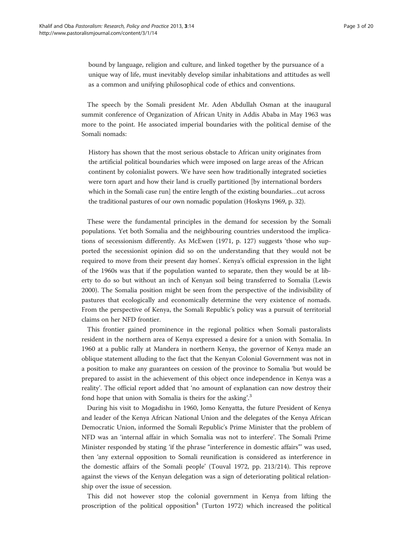bound by language, religion and culture, and linked together by the pursuance of a unique way of life, must inevitably develop similar inhabitations and attitudes as well as a common and unifying philosophical code of ethics and conventions.

The speech by the Somali president Mr. Aden Abdullah Osman at the inaugural summit conference of Organization of African Unity in Addis Ababa in May 1963 was more to the point. He associated imperial boundaries with the political demise of the Somali nomads:

History has shown that the most serious obstacle to African unity originates from the artificial political boundaries which were imposed on large areas of the African continent by colonialist powers. We have seen how traditionally integrated societies were torn apart and how their land is cruelly partitioned [by international borders which in the Somali case run] the entire length of the existing boundaries…cut across the traditional pastures of our own nomadic population (Hoskyns [1969](#page-18-0), p. 32).

These were the fundamental principles in the demand for secession by the Somali populations. Yet both Somalia and the neighbouring countries understood the implications of secessionism differently. As McEwen ([1971](#page-19-0), p. 127) suggests 'those who supported the secessionist opinion did so on the understanding that they would not be required to move from their present day homes'. Kenya's official expression in the light of the 1960s was that if the population wanted to separate, then they would be at liberty to do so but without an inch of Kenyan soil being transferred to Somalia (Lewis [2000](#page-18-0)). The Somalia position might be seen from the perspective of the indivisibility of pastures that ecologically and economically determine the very existence of nomads. From the perspective of Kenya, the Somali Republic's policy was a pursuit of territorial claims on her NFD frontier.

This frontier gained prominence in the regional politics when Somali pastoralists resident in the northern area of Kenya expressed a desire for a union with Somalia. In 1960 at a public rally at Mandera in northern Kenya, the governor of Kenya made an oblique statement alluding to the fact that the Kenyan Colonial Government was not in a position to make any guarantees on cession of the province to Somalia 'but would be prepared to assist in the achievement of this object once independence in Kenya was a reality'. The official report added that 'no amount of explanation can now destroy their fond hope that union with Somalia is theirs for the asking'.<sup>3</sup>

During his visit to Mogadishu in 1960, Jomo Kenyatta, the future President of Kenya and leader of the Kenya African National Union and the delegates of the Kenya African Democratic Union, informed the Somali Republic's Prime Minister that the problem of NFD was an 'internal affair in which Somalia was not to interfere'. The Somali Prime Minister responded by stating 'if the phrase "interference in domestic affairs"' was used, then 'any external opposition to Somali reunification is considered as interference in the domestic affairs of the Somali people' (Touval [1972](#page-19-0), pp. 213/214). This reprove against the views of the Kenyan delegation was a sign of deteriorating political relationship over the issue of secession.

This did not however stop the colonial government in Kenya from lifting the proscription of the political opposition<sup>4</sup> (Turton [1972\)](#page-19-0) which increased the political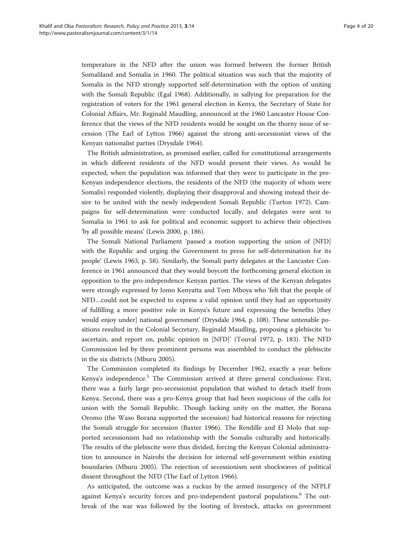temperature in the NFD after the union was formed between the former British Somaliland and Somalia in 1960. The political situation was such that the majority of Somalis in the NFD strongly supported self-determination with the option of uniting with the Somali Republic (Egal [1968](#page-18-0)). Additionally, in sallying for preparation for the registration of voters for the 1961 general election in Kenya, the Secretary of State for Colonial Affairs, Mr. Reginald Maudling, announced at the 1960 Lancaster House Conference that the views of the NFD residents would be sought on the thorny issue of secession (The Earl of Lytton [1966](#page-19-0)) against the strong anti-secessionist views of the Kenyan nationalist parties (Drysdale [1964](#page-18-0)).

The British administration, as promised earlier, called for constitutional arrangements in which different residents of the NFD would present their views. As would be expected, when the population was informed that they were to participate in the pre-Kenyan independence elections, the residents of the NFD (the majority of whom were Somalis) responded violently, displaying their disapproval and showing instead their desire to be united with the newly independent Somali Republic (Turton [1972](#page-19-0)). Campaigns for self-determination were conducted locally, and delegates were sent to Somalia in 1961 to ask for political and economic support to achieve their objectives 'by all possible means' (Lewis [2000,](#page-18-0) p. 186).

The Somali National Parliament 'passed a motion supporting the union of [NFD] with the Republic and urging the Government to press for self-determination for its people' (Lewis [1963](#page-18-0), p. 58). Similarly, the Somali party delegates at the Lancaster Conference in 1961 announced that they would boycott the forthcoming general election in opposition to the pro-independence Kenyan parties. The views of the Kenyan delegates were strongly expressed by Jomo Kenyatta and Tom Mboya who 'felt that the people of NFD…could not be expected to express a valid opinion until they had an opportunity of fulfilling a more positive role in Kenya's future and expressing the benefits [they would enjoy under] national government' (Drysdale [1964](#page-18-0), p. 108). These untenable positions resulted in the Colonial Secretary, Reginald Maudling, proposing a plebiscite 'to ascertain, and report on, public opinion in [NFD]' (Touval [1972,](#page-19-0) p. 183). The NFD Commission led by three prominent persons was assembled to conduct the plebiscite in the six districts (Mburu [2005](#page-18-0)).

The Commission completed its findings by December 1962, exactly a year before Kenya's independence.<sup>5</sup> The Commission arrived at three general conclusions: First, there was a fairly large pro-secessionist population that wished to detach itself from Kenya. Second, there was a pro-Kenya group that had been suspicious of the calls for union with the Somali Republic. Though lacking unity on the matter, the Borana Oromo (the Waso Borana supported the secession) had historical reasons for rejecting the Somali struggle for secession (Baxter [1966\)](#page-18-0). The Rendille and El Molo that supported secessionism had no relationship with the Somalis culturally and historically. The results of the plebiscite were thus divided, forcing the Kenyan Colonial administration to announce in Nairobi the decision for internal self-government within existing boundaries (Mburu [2005](#page-18-0)). The rejection of secessionism sent shockwaves of political dissent throughout the NFD (The Earl of Lytton [1966](#page-19-0)).

As anticipated, the outcome was a ruckus by the armed insurgency of the NFPLF against Kenya's security forces and pro-independent pastoral populations.<sup>6</sup> The outbreak of the war was followed by the looting of livestock, attacks on government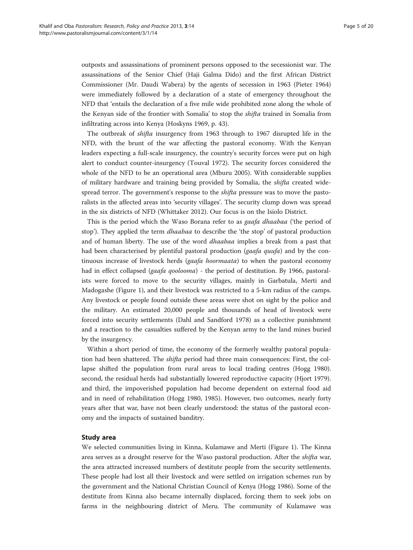outposts and assassinations of prominent persons opposed to the secessionist war. The assassinations of the Senior Chief (Haji Galma Dido) and the first African District Commissioner (Mr. Daudi Wabera) by the agents of secession in 1963 (Pieter [1964](#page-19-0)) were immediately followed by a declaration of a state of emergency throughout the NFD that 'entails the declaration of a five mile wide prohibited zone along the whole of the Kenyan side of the frontier with Somalia' to stop the shifta trained in Somalia from infiltrating across into Kenya (Hoskyns [1969,](#page-18-0) p. 43).

The outbreak of shifta insurgency from 1963 through to 1967 disrupted life in the NFD, with the brunt of the war affecting the pastoral economy. With the Kenyan leaders expecting a full-scale insurgency, the country's security forces were put on high alert to conduct counter-insurgency (Touval [1972](#page-19-0)). The security forces considered the whole of the NFD to be an operational area (Mburu [2005\)](#page-18-0). With considerable supplies of military hardware and training being provided by Somalia, the shifta created widespread terror. The government's response to the shifta pressure was to move the pastoralists in the affected areas into 'security villages'. The security clump down was spread in the six districts of NFD (Whittaker [2012\)](#page-19-0). Our focus is on the Isiolo District.

This is the period which the Waso Borana refer to as gaafa dhaabaa ('the period of stop'). They applied the term *dhaabaa* to describe the 'the stop' of pastoral production and of human liberty. The use of the word dhaabaa implies a break from a past that had been characterised by plentiful pastoral production (*gaafa quufa*) and by the continuous increase of livestock herds (gaafa hoormaata) to when the pastoral economy had in effect collapsed (*gaafa qoolooma*) - the period of destitution. By 1966, pastoralists were forced to move to the security villages, mainly in Garbatula, Merti and Madogashe (Figure [1](#page-5-0)), and their livestock was restricted to a 5-km radius of the camps. Any livestock or people found outside these areas were shot on sight by the police and the military. An estimated 20,000 people and thousands of head of livestock were forced into security settlements (Dahl and Sandford [1978](#page-18-0)) as a collective punishment and a reaction to the casualties suffered by the Kenyan army to the land mines buried by the insurgency.

Within a short period of time, the economy of the formerly wealthy pastoral population had been shattered. The shifta period had three main consequences: First, the collapse shifted the population from rural areas to local trading centres (Hogg [1980](#page-18-0)). second, the residual herds had substantially lowered reproductive capacity (Hjort [1979](#page-18-0)). and third, the impoverished population had become dependent on external food aid and in need of rehabilitation (Hogg [1980](#page-18-0), [1985\)](#page-18-0). However, two outcomes, nearly forty years after that war, have not been clearly understood: the status of the pastoral economy and the impacts of sustained banditry.

#### Study area

We selected communities living in Kinna, Kulamawe and Merti (Figure [1\)](#page-5-0). The Kinna area serves as a drought reserve for the Waso pastoral production. After the *shifta* war, the area attracted increased numbers of destitute people from the security settlements. These people had lost all their livestock and were settled on irrigation schemes run by the government and the National Christian Council of Kenya (Hogg [1986\)](#page-18-0). Some of the destitute from Kinna also became internally displaced, forcing them to seek jobs on farms in the neighbouring district of Meru. The community of Kulamawe was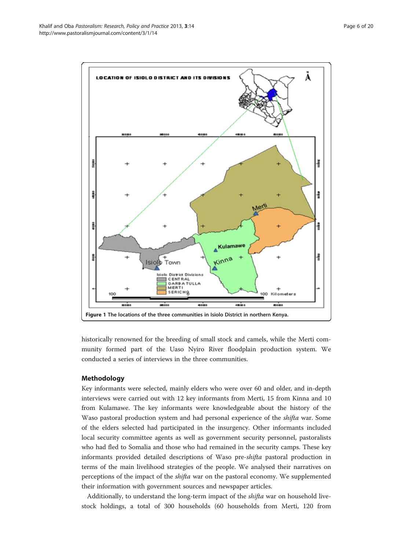<span id="page-5-0"></span>

historically renowned for the breeding of small stock and camels, while the Merti community formed part of the Uaso Nyiro River floodplain production system. We conducted a series of interviews in the three communities.

# Methodology

Key informants were selected, mainly elders who were over 60 and older, and in-depth interviews were carried out with 12 key informants from Merti, 15 from Kinna and 10 from Kulamawe. The key informants were knowledgeable about the history of the Waso pastoral production system and had personal experience of the shifta war. Some of the elders selected had participated in the insurgency. Other informants included local security committee agents as well as government security personnel, pastoralists who had fled to Somalia and those who had remained in the security camps. These key informants provided detailed descriptions of Waso pre-shifta pastoral production in terms of the main livelihood strategies of the people. We analysed their narratives on perceptions of the impact of the shifta war on the pastoral economy. We supplemented their information with government sources and newspaper articles.

Additionally, to understand the long-term impact of the shifta war on household livestock holdings, a total of 300 households (60 households from Merti, 120 from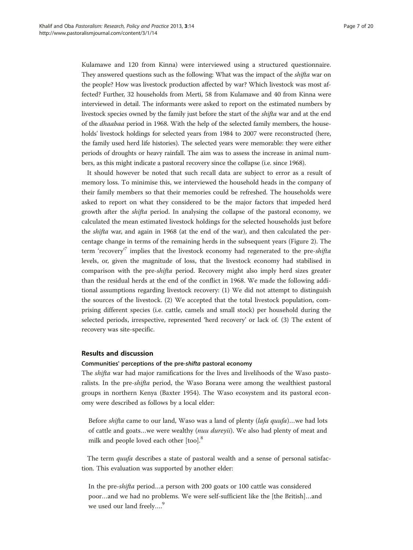Kulamawe and 120 from Kinna) were interviewed using a structured questionnaire. They answered questions such as the following: What was the impact of the shifta war on the people? How was livestock production affected by war? Which livestock was most affected? Further, 32 households from Merti, 58 from Kulamawe and 40 from Kinna were interviewed in detail. The informants were asked to report on the estimated numbers by livestock species owned by the family just before the start of the shifta war and at the end of the dhaabaa period in 1968. With the help of the selected family members, the households' livestock holdings for selected years from 1984 to 2007 were reconstructed (here, the family used herd life histories). The selected years were memorable: they were either periods of droughts or heavy rainfall. The aim was to assess the increase in animal numbers, as this might indicate a pastoral recovery since the collapse (i.e. since 1968).

It should however be noted that such recall data are subject to error as a result of memory loss. To minimise this, we interviewed the household heads in the company of their family members so that their memories could be refreshed. The households were asked to report on what they considered to be the major factors that impeded herd growth after the shifta period. In analysing the collapse of the pastoral economy, we calculated the mean estimated livestock holdings for the selected households just before the shifta war, and again in 1968 (at the end of the war), and then calculated the percentage change in terms of the remaining herds in the subsequent years (Figure [2](#page-7-0)). The term 'recovery<sup>,7</sup> implies that the livestock economy had regenerated to the pre-shifta levels, or, given the magnitude of loss, that the livestock economy had stabilised in comparison with the pre-*shifta* period. Recovery might also imply herd sizes greater than the residual herds at the end of the conflict in 1968. We made the following additional assumptions regarding livestock recovery: (1) We did not attempt to distinguish the sources of the livestock. (2) We accepted that the total livestock population, comprising different species (i.e. cattle, camels and small stock) per household during the selected periods, irrespective, represented 'herd recovery' or lack of. (3) The extent of recovery was site-specific.

## Results and discussion

#### Communities' perceptions of the pre-shifta pastoral economy

The shifta war had major ramifications for the lives and livelihoods of the Waso pastoralists. In the pre-shifta period, the Waso Borana were among the wealthiest pastoral groups in northern Kenya (Baxter [1954\)](#page-18-0). The Waso ecosystem and its pastoral economy were described as follows by a local elder:

Before *shifta* came to our land, Waso was a land of plenty (lafa quufa)...we had lots of cattle and goats…we were wealthy (nuu dureyii). We also had plenty of meat and milk and people loved each other [too].<sup>8</sup>

The term *quufa* describes a state of pastoral wealth and a sense of personal satisfaction. This evaluation was supported by another elder:

In the pre-shifta period…a person with 200 goats or 100 cattle was considered poor…and we had no problems. We were self-sufficient like the [the British]…and we used our land freely....<sup>9</sup>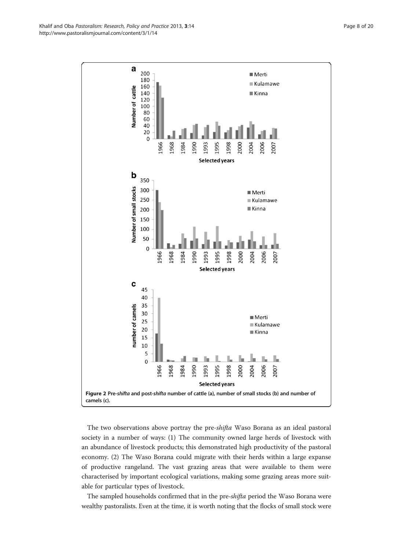<span id="page-7-0"></span>

The two observations above portray the pre-shifta Waso Borana as an ideal pastoral society in a number of ways: (1) The community owned large herds of livestock with an abundance of livestock products; this demonstrated high productivity of the pastoral economy. (2) The Waso Borana could migrate with their herds within a large expanse of productive rangeland. The vast grazing areas that were available to them were characterised by important ecological variations, making some grazing areas more suitable for particular types of livestock.

The sampled households confirmed that in the pre-shifta period the Waso Borana were wealthy pastoralists. Even at the time, it is worth noting that the flocks of small stock were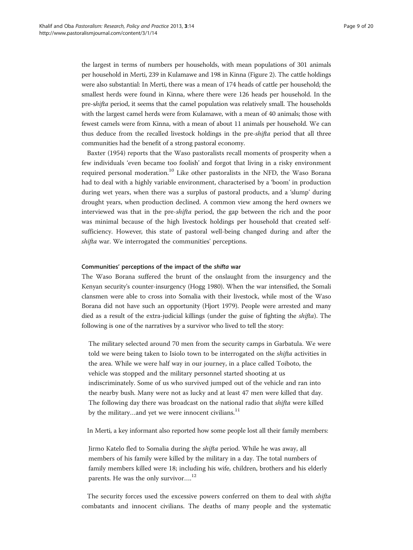the largest in terms of numbers per households, with mean populations of 301 animals per household in Merti, 239 in Kulamawe and 198 in Kinna (Figure [2](#page-7-0)). The cattle holdings were also substantial: In Merti, there was a mean of 174 heads of cattle per household; the smallest herds were found in Kinna, where there were 126 heads per household. In the pre-shifta period, it seems that the camel population was relatively small. The households with the largest camel herds were from Kulamawe, with a mean of 40 animals; those with fewest camels were from Kinna, with a mean of about 11 animals per household. We can thus deduce from the recalled livestock holdings in the pre-*shifta* period that all three communities had the benefit of a strong pastoral economy.

Baxter [\(1954\)](#page-18-0) reports that the Waso pastoralists recall moments of prosperity when a few individuals 'even became too foolish' and forgot that living in a risky environment required personal moderation.<sup>10</sup> Like other pastoralists in the NFD, the Waso Borana had to deal with a highly variable environment, characterised by a 'boom' in production during wet years, when there was a surplus of pastoral products, and a 'slump' during drought years, when production declined. A common view among the herd owners we interviewed was that in the pre-shifta period, the gap between the rich and the poor was minimal because of the high livestock holdings per household that created selfsufficiency. However, this state of pastoral well-being changed during and after the shifta war. We interrogated the communities' perceptions.

#### Communities' perceptions of the impact of the shifta war

The Waso Borana suffered the brunt of the onslaught from the insurgency and the Kenyan security's counter-insurgency (Hogg [1980](#page-18-0)). When the war intensified, the Somali clansmen were able to cross into Somalia with their livestock, while most of the Waso Borana did not have such an opportunity (Hjort [1979](#page-18-0)). People were arrested and many died as a result of the extra-judicial killings (under the guise of fighting the *shifta*). The following is one of the narratives by a survivor who lived to tell the story:

The military selected around 70 men from the security camps in Garbatula. We were told we were being taken to Isiolo town to be interrogated on the shifta activities in the area. While we were half way in our journey, in a place called Toiboto, the vehicle was stopped and the military personnel started shooting at us indiscriminately. Some of us who survived jumped out of the vehicle and ran into the nearby bush. Many were not as lucky and at least 47 men were killed that day. The following day there was broadcast on the national radio that *shifta* were killed by the military...and yet we were innocent civilians. $^{11}$ 

In Merti, a key informant also reported how some people lost all their family members:

Jirmo Katelo fled to Somalia during the shifta period. While he was away, all members of his family were killed by the military in a day. The total numbers of family members killed were 18; including his wife, children, brothers and his elderly parents. He was the only survivor....<sup>12</sup>

The security forces used the excessive powers conferred on them to deal with *shifta* combatants and innocent civilians. The deaths of many people and the systematic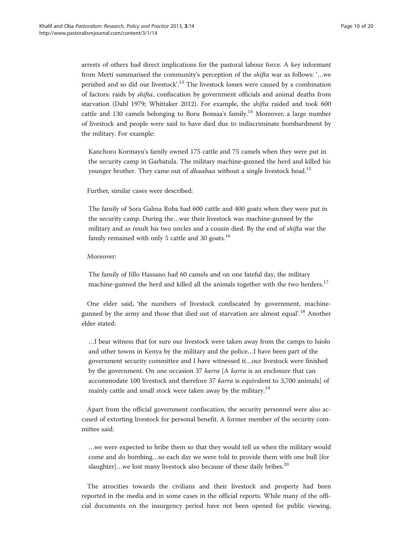arrests of others had direct implications for the pastoral labour force. A key informant from Merti summarised the community's perception of the shifta war as follows: '…we perished and so did our livestock'.<sup>13</sup> The livestock losses were caused by a combination of factors: raids by shifta, confiscation by government officials and animal deaths from starvation (Dahl [1979;](#page-18-0) Whittaker [2012](#page-19-0)). For example, the shifta raided and took 600 cattle and 130 camels belonging to Boru Bonsaa's family.<sup>14</sup> Moreover, a large number of livestock and people were said to have died due to indiscriminate bombardment by the military. For example:

Kanchoro Kormayu's family owned 175 cattle and 75 camels when they were put in the security camp in Garbatula. The military machine-gunned the herd and killed his younger brother. They came out of *dhaabaa* without a single livestock head.<sup>15</sup>

Further, similar cases were described:

The family of Sora Galma Roba had 600 cattle and 400 goats when they were put in the security camp. During the…war their livestock was machine-gunned by the military and as result his two uncles and a cousin died. By the end of shifta war the family remained with only 5 cattle and 30 goats. $^{16}$ 

#### Moreover:

The family of Jillo Hassano had 60 camels and on one fateful day, the military machine-gunned the herd and killed all the animals together with the two herders.<sup>17</sup>

One elder said, 'the numbers of livestock confiscated by government, machinegunned by the army and those that died out of starvation are almost equal'.<sup>18</sup> Another elder stated:

…I bear witness that for sure our livestock were taken away from the camps to Isiolo and other towns in Kenya by the military and the police…I have been part of the government security committee and I have witnessed it…our livestock were finished by the government. On one occasion 37 karra [A karra is an enclosure that can accommodate 100 livestock and therefore 37 karra is equivalent to 3,700 animals] of mainly cattle and small stock were taken away by the military.<sup>19</sup>

Apart from the official government confiscation, the security personnel were also accused of extorting livestock for personal benefit. A former member of the security committee said:

…we were expected to bribe them so that they would tell us when the military would come and do bombing…so each day we were told to provide them with one bull [for slaughter]...we lost many livestock also because of these daily bribes.<sup>20</sup>

The atrocities towards the civilians and their livestock and property had been reported in the media and in some cases in the official reports. While many of the official documents on the insurgency period have not been opened for public viewing,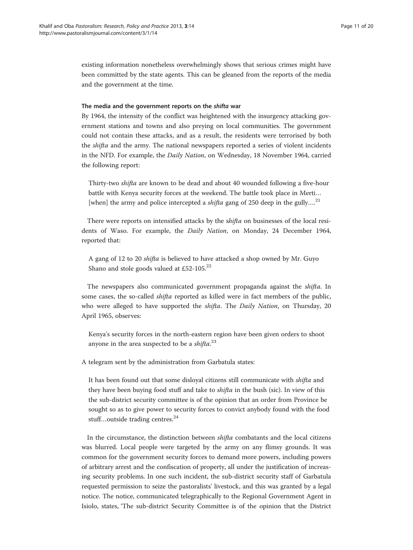existing information nonetheless overwhelmingly shows that serious crimes might have been committed by the state agents. This can be gleaned from the reports of the media and the government at the time.

### The media and the government reports on the shifta war

By 1964, the intensity of the conflict was heightened with the insurgency attacking government stations and towns and also preying on local communities. The government could not contain these attacks, and as a result, the residents were terrorised by both the shifta and the army. The national newspapers reported a series of violent incidents in the NFD. For example, the Daily Nation, on Wednesday, 18 November 1964, carried the following report:

Thirty-two shifta are known to be dead and about 40 wounded following a five-hour battle with Kenya security forces at the weekend. The battle took place in Merti… [when] the army and police intercepted a shifta gang of 250 deep in the gully....<sup>21</sup>

There were reports on intensified attacks by the *shifta* on businesses of the local residents of Waso. For example, the Daily Nation, on Monday, 24 December 1964, reported that:

A gang of 12 to 20 shifta is believed to have attacked a shop owned by Mr. Guyo Shano and stole goods valued at £52-105.<sup>22</sup>

The newspapers also communicated government propaganda against the shifta. In some cases, the so-called *shifta* reported as killed were in fact members of the public, who were alleged to have supported the *shifta*. The *Daily Nation*, on Thursday, 20 April 1965, observes:

Kenya's security forces in the north-eastern region have been given orders to shoot anyone in the area suspected to be a  $\it shifta$ .  $^{23}$ 

A telegram sent by the administration from Garbatula states:

It has been found out that some disloyal citizens still communicate with shifta and they have been buying food stuff and take to *shifta* in the bush (sic). In view of this the sub-district security committee is of the opinion that an order from Province be sought so as to give power to security forces to convict anybody found with the food stuff...outside trading centres.<sup>24</sup>

In the circumstance, the distinction between shifta combatants and the local citizens was blurred. Local people were targeted by the army on any flimsy grounds. It was common for the government security forces to demand more powers, including powers of arbitrary arrest and the confiscation of property, all under the justification of increasing security problems. In one such incident, the sub-district security staff of Garbatula requested permission to seize the pastoralists' livestock, and this was granted by a legal notice. The notice, communicated telegraphically to the Regional Government Agent in Isiolo, states, 'The sub-district Security Committee is of the opinion that the District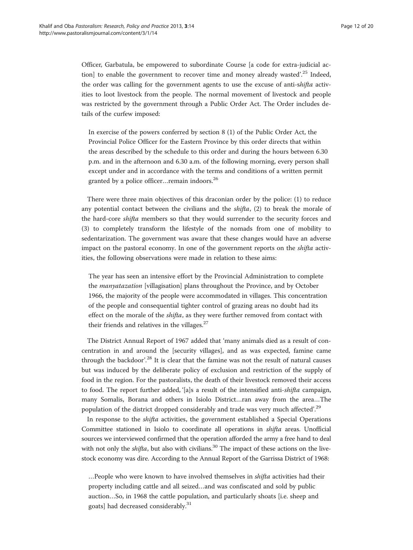Officer, Garbatula, be empowered to subordinate Course [a code for extra-judicial action] to enable the government to recover time and money already wasted'.<sup>25</sup> Indeed, the order was calling for the government agents to use the excuse of anti-shifta activities to loot livestock from the people. The normal movement of livestock and people was restricted by the government through a Public Order Act. The Order includes details of the curfew imposed:

In exercise of the powers conferred by section 8 (1) of the Public Order Act, the Provincial Police Officer for the Eastern Province by this order directs that within the areas described by the schedule to this order and during the hours between 6.30 p.m. and in the afternoon and 6.30 a.m. of the following morning, every person shall except under and in accordance with the terms and conditions of a written permit granted by a police officer...remain indoors.<sup>26</sup>

There were three main objectives of this draconian order by the police: (1) to reduce any potential contact between the civilians and the shifta, (2) to break the morale of the hard-core shifta members so that they would surrender to the security forces and (3) to completely transform the lifestyle of the nomads from one of mobility to sedentarization. The government was aware that these changes would have an adverse impact on the pastoral economy. In one of the government reports on the shifta activities, the following observations were made in relation to these aims:

The year has seen an intensive effort by the Provincial Administration to complete the manyatazation [villagisation] plans throughout the Province, and by October 1966, the majority of the people were accommodated in villages. This concentration of the people and consequential tighter control of grazing areas no doubt had its effect on the morale of the *shifta*, as they were further removed from contact with their friends and relatives in the villages.<sup>27</sup>

The District Annual Report of 1967 added that 'many animals died as a result of concentration in and around the [security villages], and as was expected, famine came through the backdoor'.<sup>28</sup> It is clear that the famine was not the result of natural causes but was induced by the deliberate policy of exclusion and restriction of the supply of food in the region. For the pastoralists, the death of their livestock removed their access to food. The report further added, '[a]s a result of the intensified anti-shifta campaign, many Somalis, Borana and others in Isiolo District…ran away from the area…The population of the district dropped considerably and trade was very much affected'.<sup>29</sup>

In response to the shifta activities, the government established a Special Operations Committee stationed in Isiolo to coordinate all operations in shifta areas. Unofficial sources we interviewed confirmed that the operation afforded the army a free hand to deal with not only the *shifta*, but also with civilians.<sup>30</sup> The impact of these actions on the livestock economy was dire. According to the Annual Report of the Garrissa District of 1968:

…People who were known to have involved themselves in shifta activities had their property including cattle and all seized…and was confiscated and sold by public auction…So, in 1968 the cattle population, and particularly shoats [i.e. sheep and goats] had decreased considerably.31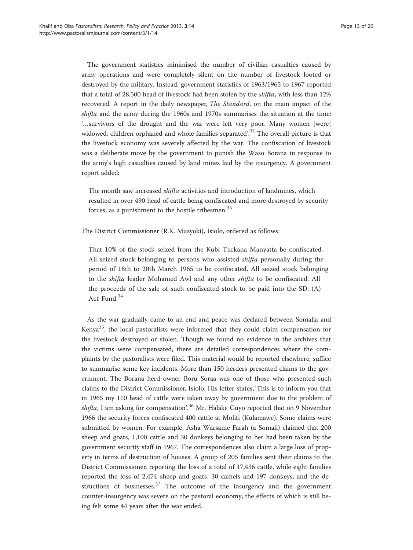The government statistics minimised the number of civilian casualties caused by army operations and were completely silent on the number of livestock looted or destroyed by the military. Instead, government statistics of 1963/1965 to 1967 reported that a total of 28,500 head of livestock had been stolen by the shifta, with less than 12% recovered. A report in the daily newspaper, The Standard, on the main impact of the shifta and the army during the 1960s and 1970s summarises the situation at the time: '…survivors of the drought and the war were left very poor. Many women [were] widowed, children orphaned and whole families separated'.<sup>32</sup> The overall picture is that the livestock economy was severely affected by the war. The confiscation of livestock was a deliberate move by the government to punish the Waso Borana in response to the army's high casualties caused by land mines laid by the insurgency. A government report added:

The month saw increased *shifta* activities and introduction of landmines, which resulted in over 490 head of cattle being confiscated and more destroyed by security forces, as a punishment to the hostile tribesmen.<sup>33</sup>

The District Commissioner (R.K. Musyoki), Isiolo, ordered as follows:

That 10% of the stock seized from the Kubi Turkana Manyatta be confiscated. All seized stock belonging to persons who assisted *shifta* personally during the period of 18th to 20th March 1965 to be confiscated. All seized stock belonging to the shifta leader Mohamed Awl and any other shifta to be confiscated. All the proceeds of the sale of such confiscated stock to be paid into the SD. (A) Act Fund.<sup>34</sup>

As the war gradually came to an end and peace was declared between Somalia and Kenya<sup>35</sup>, the local pastoralists were informed that they could claim compensation for the livestock destroyed or stolen. Though we found no evidence in the archives that the victims were compensated, there are detailed correspondences where the complaints by the pastoralists were filed. This material would be reported elsewhere, suffice to summarise some key incidents. More than 150 herders presented claims to the government. The Borana herd owner Boru Soraa was one of those who presented such claims to the District Commissioner, Isiolo. His letter states, 'This is to inform you that in 1965 my 110 head of cattle were taken away by government due to the problem of s*hifta*, I am asking for compensation'.<sup>36</sup> Mr. Halake Guyo reported that on 9 November 1966 the security forces confiscated 400 cattle at Moliti (Kulamawe). Some claims were submitted by women. For example, Asha Warsame Farah (a Somali) claimed that 200 sheep and goats, 1,100 cattle and 30 donkeys belonging to her had been taken by the government security staff in 1967. The correspondences also claim a large loss of property in terms of destruction of houses. A group of 205 families sent their claims to the District Commissioner, reporting the loss of a total of 17,436 cattle, while eight families reported the loss of 2,474 sheep and goats, 30 camels and 197 donkeys, and the destructions of businesses. $37$  The outcome of the insurgency and the government counter-insurgency was severe on the pastoral economy, the effects of which is still being felt some 44 years after the war ended.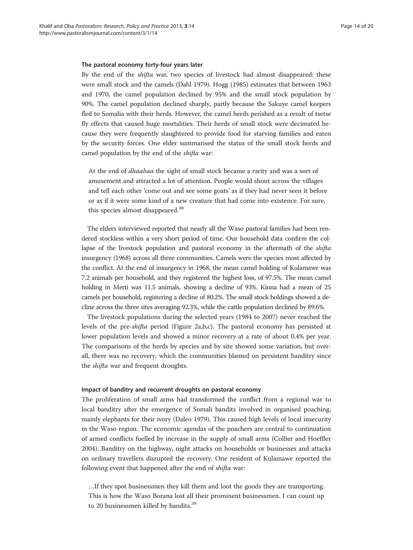#### The pastoral economy forty-four years later

By the end of the shifta war, two species of livestock had almost disappeared: these were small stock and the camels (Dahl [1979\)](#page-18-0). Hogg ([1985](#page-18-0)) estimates that between 1963 and 1970, the camel population declined by 95% and the small stock population by 90%. The camel population declined sharply, partly because the Sakuye camel keepers fled to Somalia with their herds. However, the camel herds perished as a result of tsetse fly effects that caused huge mortalities. Their herds of small stock were decimated because they were frequently slaughtered to provide food for starving families and eaten by the security forces. One elder summarised the status of the small stock herds and camel population by the end of the shifta war:

At the end of dhaabaa the sight of small stock became a rarity and was a sort of amusement and attracted a lot of attention. People would shout across the villages and tell each other 'come out and see some goats' as if they had never seen it before or as if it were some kind of a new creature that had come into existence. For sure, this species almost disappeared.<sup>38</sup>

The elders interviewed reported that nearly all the Waso pastoral families had been rendered stockless within a very short period of time. Our household data confirm the collapse of the livestock population and pastoral economy in the aftermath of the *shifta* insurgency (1968) across all three communities. Camels were the species most affected by the conflict. At the end of insurgency in 1968, the mean camel holding of Kulamawe was 7.2 animals per household, and they registered the highest loss, of 97.5%. The mean camel holding in Merti was 11.5 animals, showing a decline of 93%. Kinna had a mean of 25 camels per household, registering a decline of 80.2%. The small stock holdings showed a decline across the three sites averaging 92.3%, while the cattle population declined by 89.6%.

The livestock populations during the selected years (1984 to 2007) never reached the levels of the pre-shifta period (Figure [2a](#page-7-0),b,c). The pastoral economy has persisted at lower population levels and showed a minor recovery at a rate of about 0.4% per year. The comparisons of the herds by species and by site showed some variation, but overall, there was no recovery, which the communities blamed on persistent banditry since the shifta war and frequent droughts.

#### Impact of banditry and recurrent droughts on pastoral economy

The proliferation of small arms had transformed the conflict from a regional war to local banditry after the emergence of Somali bandits involved in organised poaching, mainly elephants for their ivory (Daleo [1979](#page-18-0)). This caused high levels of local insecurity in the Waso region. The economic agendas of the poachers are central to continuation of armed conflicts fuelled by increase in the supply of small arms (Collier and Hoeffler [2004](#page-18-0)). Banditry on the highway, night attacks on households or businesses and attacks on ordinary travellers disrupted the recovery. One resident of Kulamawe reported the following event that happened after the end of shifta war:

…If they spot businessmen they kill them and loot the goods they are transporting. This is how the Waso Borana lost all their prominent businessmen. I can count up to 20 businessmen killed by bandits.<sup>39</sup>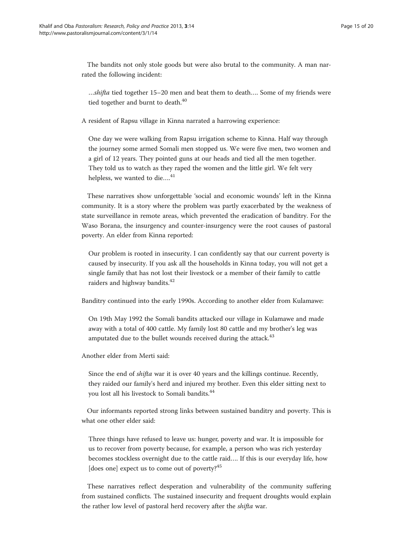The bandits not only stole goods but were also brutal to the community. A man narrated the following incident:

…shifta tied together 15–20 men and beat them to death…. Some of my friends were tied together and burnt to death.<sup>40</sup>

A resident of Rapsu village in Kinna narrated a harrowing experience:

One day we were walking from Rapsu irrigation scheme to Kinna. Half way through the journey some armed Somali men stopped us. We were five men, two women and a girl of 12 years. They pointed guns at our heads and tied all the men together. They told us to watch as they raped the women and the little girl. We felt very helpless, we wanted to die....<sup>41</sup>

These narratives show unforgettable 'social and economic wounds' left in the Kinna community. It is a story where the problem was partly exacerbated by the weakness of state surveillance in remote areas, which prevented the eradication of banditry. For the Waso Borana, the insurgency and counter-insurgency were the root causes of pastoral poverty. An elder from Kinna reported:

Our problem is rooted in insecurity. I can confidently say that our current poverty is caused by insecurity. If you ask all the households in Kinna today, you will not get a single family that has not lost their livestock or a member of their family to cattle raiders and highway bandits.<sup>42</sup>

Banditry continued into the early 1990s. According to another elder from Kulamawe:

On 19th May 1992 the Somali bandits attacked our village in Kulamawe and made away with a total of 400 cattle. My family lost 80 cattle and my brother's leg was amputated due to the bullet wounds received during the attack.<sup>43</sup>

Another elder from Merti said:

Since the end of shifta war it is over 40 years and the killings continue. Recently, they raided our family's herd and injured my brother. Even this elder sitting next to you lost all his livestock to Somali bandits.<sup>44</sup>

Our informants reported strong links between sustained banditry and poverty. This is what one other elder said:

Three things have refused to leave us: hunger, poverty and war. It is impossible for us to recover from poverty because, for example, a person who was rich yesterday becomes stockless overnight due to the cattle raid…. If this is our everyday life, how [does one] expect us to come out of poverty?<sup>45</sup>

These narratives reflect desperation and vulnerability of the community suffering from sustained conflicts. The sustained insecurity and frequent droughts would explain the rather low level of pastoral herd recovery after the *shifta* war.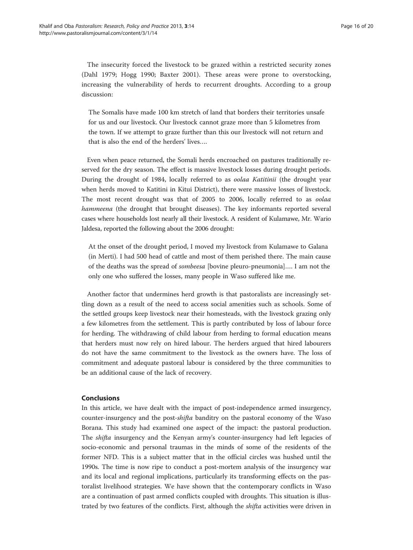The insecurity forced the livestock to be grazed within a restricted security zones (Dahl [1979;](#page-18-0) Hogg [1990;](#page-18-0) Baxter [2001\)](#page-18-0). These areas were prone to overstocking, increasing the vulnerability of herds to recurrent droughts. According to a group discussion:

The Somalis have made 100 km stretch of land that borders their territories unsafe for us and our livestock. Our livestock cannot graze more than 5 kilometres from the town. If we attempt to graze further than this our livestock will not return and that is also the end of the herders' lives….

Even when peace returned, the Somali herds encroached on pastures traditionally reserved for the dry season. The effect is massive livestock losses during drought periods. During the drought of 1984, locally referred to as oolaa Katitinii (the drought year when herds moved to Katitini in Kitui District), there were massive losses of livestock. The most recent drought was that of 2005 to 2006, locally referred to as oolaa hammeena (the drought that brought diseases). The key informants reported several cases where households lost nearly all their livestock. A resident of Kulamawe, Mr. Wario Jaldesa, reported the following about the 2006 drought:

At the onset of the drought period, I moved my livestock from Kulamawe to Galana (in Merti). I had 500 head of cattle and most of them perished there. The main cause of the deaths was the spread of sombeesa [bovine pleuro-pneumonia]…. I am not the only one who suffered the losses, many people in Waso suffered like me.

Another factor that undermines herd growth is that pastoralists are increasingly settling down as a result of the need to access social amenities such as schools. Some of the settled groups keep livestock near their homesteads, with the livestock grazing only a few kilometres from the settlement. This is partly contributed by loss of labour force for herding. The withdrawing of child labour from herding to formal education means that herders must now rely on hired labour. The herders argued that hired labourers do not have the same commitment to the livestock as the owners have. The loss of commitment and adequate pastoral labour is considered by the three communities to be an additional cause of the lack of recovery.

# Conclusions

In this article, we have dealt with the impact of post-independence armed insurgency, counter-insurgency and the post-shifta banditry on the pastoral economy of the Waso Borana. This study had examined one aspect of the impact: the pastoral production. The shifta insurgency and the Kenyan army's counter-insurgency had left legacies of socio-economic and personal traumas in the minds of some of the residents of the former NFD. This is a subject matter that in the official circles was hushed until the 1990s. The time is now ripe to conduct a post-mortem analysis of the insurgency war and its local and regional implications, particularly its transforming effects on the pastoralist livelihood strategies. We have shown that the contemporary conflicts in Waso are a continuation of past armed conflicts coupled with droughts. This situation is illustrated by two features of the conflicts. First, although the *shifta* activities were driven in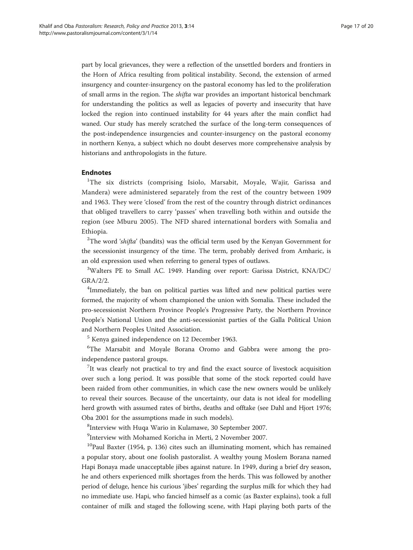part by local grievances, they were a reflection of the unsettled borders and frontiers in the Horn of Africa resulting from political instability. Second, the extension of armed insurgency and counter-insurgency on the pastoral economy has led to the proliferation of small arms in the region. The shifta war provides an important historical benchmark for understanding the politics as well as legacies of poverty and insecurity that have locked the region into continued instability for 44 years after the main conflict had waned. Our study has merely scratched the surface of the long-term consequences of the post-independence insurgencies and counter-insurgency on the pastoral economy in northern Kenya, a subject which no doubt deserves more comprehensive analysis by historians and anthropologists in the future.

# Endnotes

<sup>1</sup>The six districts (comprising Isiolo, Marsabit, Moyale, Wajir, Garissa and Mandera) were administered separately from the rest of the country between 1909 and 1963. They were 'closed' from the rest of the country through district ordinances that obliged travellers to carry 'passes' when travelling both within and outside the region (see Mburu [2005](#page-18-0)). The NFD shared international borders with Somalia and Ethiopia.

 $2$ The word 'shifta' (bandits) was the official term used by the Kenyan Government for the secessionist insurgency of the time. The term, probably derived from Amharic, is an old expression used when referring to general types of outlaws.

<sup>3</sup>Walters PE to Small AC. 1949. Handing over report: Garissa District, KNA/DC/ GRA/2/2.

<sup>4</sup>Immediately, the ban on political parties was lifted and new political parties were formed, the majority of whom championed the union with Somalia. These included the pro-secessionist Northern Province People's Progressive Party, the Northern Province People's National Union and the anti-secessionist parties of the Galla Political Union and Northern Peoples United Association.

<sup>5</sup> Kenya gained independence on 12 December 1963.

<sup>6</sup>The Marsabit and Moyale Borana Oromo and Gabbra were among the proindependence pastoral groups.

 $7$ It was clearly not practical to try and find the exact source of livestock acquisition over such a long period. It was possible that some of the stock reported could have been raided from other communities, in which case the new owners would be unlikely to reveal their sources. Because of the uncertainty, our data is not ideal for modelling herd growth with assumed rates of births, deaths and offtake (see Dahl and Hjort [1976](#page-18-0); Oba [2001](#page-19-0) for the assumptions made in such models).

8 Interview with Huqa Wario in Kulamawe, 30 September 2007.

9 Interview with Mohamed Koricha in Merti, 2 November 2007.

 $10P$ aul Baxter [\(1954,](#page-18-0) p. 136) cites such an illuminating moment, which has remained a popular story, about one foolish pastoralist. A wealthy young Moslem Borana named Hapi Bonaya made unacceptable jibes against nature. In 1949, during a brief dry season, he and others experienced milk shortages from the herds. This was followed by another period of deluge, hence his curious 'jibes' regarding the surplus milk for which they had no immediate use. Hapi, who fancied himself as a comic (as Baxter explains), took a full container of milk and staged the following scene, with Hapi playing both parts of the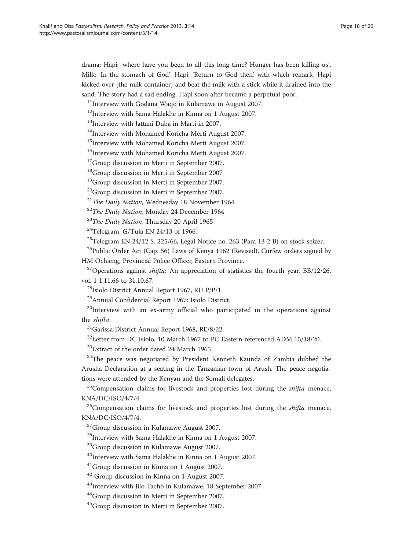drama: Hapi: 'where have you been to all this long time? Hunger has been killing us'. Milk: 'In the stomach of God'. Hapi: 'Return to God then', with which remark, Hapi kicked over [the milk container] and beat the milk with a stick while it drained into the sand. The story had a sad ending. Hapi soon after became a perpetual poor.

 $11$ Interview with Godana Waqo in Kulamawe in August 2007.

<sup>12</sup>Interview with Sama Halakhe in Kinna on 1 August 2007.

<sup>13</sup>Interview with Jattani Duba in Marti in 2007.

<sup>14</sup>Interview with Mohamed Koricha Merti August 2007.

<sup>15</sup>Interview with Mohamed Koricha Merti August 2007.

<sup>16</sup>Interview with Mohamed Koricha Merti August 2007.

<sup>17</sup>Group discussion in Merti in September 2007.

18Group discussion in Merti in September 2007

19Group discussion in Merti in September 2007.

<sup>20</sup>Group discussion in Merti in September 2007.

 $21$ The Daily Nation, Wednesday 18 November 1964

 $22$ The Daily Nation, Monday 24 December 1964

 $^{23}$ The Daily Nation, Thursday 20 April 1965

 $^{24}$ Telegram, G/Tula EN 24/13 of 1966.

 $^{25}$ Telegram EN 24/12 S. 225/66, Legal Notice no. 263 (Para 13 2 B) on stock seizer.

 $^{26}$ Public Order Act (Cap. 56) Laws of Kenya 1962 (Revised). Curfew orders signed by HM Ochieng, Provincial Police Officer, Eastern Province.

<sup>27</sup> Operations against *shifta*: An appreciation of statistics the fourth year, BB/12/26, vol. 1 1.11.66 to 31.10.67.

<sup>28</sup>Isiolo District Annual Report 1967, RU P/P/1.

29Annual Confidential Report 1967: Isiolo District.

 $30$ Interview with an ex-army official who participated in the operations against the shifta.

31Garissa District Annual Report 1968, RE/8/22.

<sup>32</sup>Letter from DC Isiolo, 10 March 1967 to PC Eastern referenced ADM 15/18/20.

<sup>33</sup>Extract of the order dated 24 March 1965.

<sup>34</sup>The peace was negotiated by President Kenneth Kaunda of Zambia dubbed the Arusha Declaration at a seating in the Tanzanian town of Arush. The peace negotiations were attended by the Kenyan and the Somali delegates.

 $35$ Compensation claims for livestock and properties lost during the *shifta* menace, KNA/DC/ISO/4/7/4.

 $36$ Compensation claims for livestock and properties lost during the *shifta* menace, KNA/DC/ISO/4/7/4.

<sup>37</sup>Group discussion in Kulamawe August 2007.

38Interview with Sama Halakhe in Kinna on 1 August 2007.

<sup>39</sup>Group discussion in Kulamawe August 2007.

<sup>40</sup>Interview with Sama Halakhe in Kinna on 1 August 2007.

41Group discussion in Kinna on 1 August 2007.

<sup>42</sup> Group discussion in Kinna on 1 August 2007.

43Interview with Jilo Tacho in Kulamawe, 18 September 2007.

44Group discussion in Merti in September 2007.

45Group discussion in Merti in September 2007.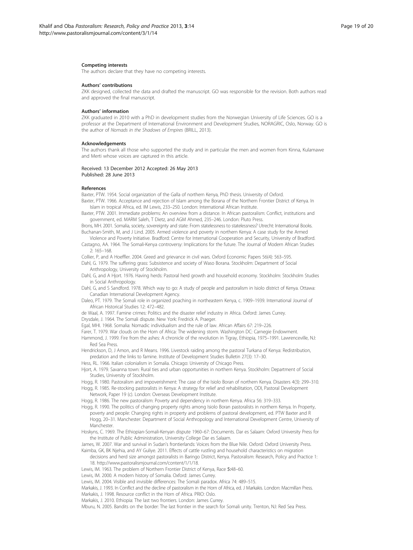#### <span id="page-18-0"></span>Competing interests

The authors declare that they have no competing interests.

#### Authors' contributions

ZKK designed, collected the data and drafted the manuscript. GO was responsible for the revision. Both authors read and approved the final manuscript.

#### Authors' information

ZKK graduated in 2010 with a PhD in development studies from the Norwegian University of Life Sciences. GO is a professor at the Department of International Environment and Development Studies, NORAGRIC, Oslo, Norway. GO is the author of Nomads in the Shadows of Empires (BRILL, 2013).

#### Acknowledgements

The authors thank all those who supported the study and in particular the men and women from Kinna, Kulamawe and Merti whose voices are captured in this article.

#### Received: 13 December 2012 Accepted: 26 May 2013 Published: 28 June 2013

#### References

Baxter, PTW. 1954. Social organization of the Galla of northern Kenya, PhD thesis. University of Oxford.

- Baxter, PTW. 1966. Acceptance and rejection of Islam among the Borana of the Northern Frontier District of Kenya. In Islam in tropical Africa, ed. IM Lewis, 233–250. London: International African Institute.
- Baxter, PTW. 2001. Immediate problems: An overview from a distance. In African pastoralism: Conflict, institutions and government, ed. MARM Saleh, T Dietz, and AGM Ahmed, 235–246. London: Pluto Press.

Brons, MH. 2001. Somalia, society, sovereignty and state: From statelessness to statelessness? Utrecht: International Books. Buchanan-Smith, M, and J Lind. 2005. Armed violence and poverty in northern Kenya: A case study for the Armed

- Violence and Poverty Initiative. Bradford: Centre for International Cooperation and Security, University of Bradford. Castagno, AA. 1964. The Somali-Kenya controversy: Implications for the future. The Journal of Modern African Studies 2: 165–168.
- Collier, P, and A Hoeffler. 2004. Greed and grievance in civil wars. Oxford Economic Papers 56(4): 563–595. Dahl, G. 1979. The suffering grass: Subsistence and society of Waso Borana. Stockholm: Department of Social
- Anthropology, University of Stockholm.
- Dahl, G, and A Hjort. 1976. Having herds: Pastoral herd growth and household economy. Stockholm: Stockholm Studies in Social Anthropology.
- Dahl, G, and S Sandford. 1978. Which way to go: A study of people and pastoralism in Isiolo district of Kenya. Ottawa: Canadian International Development Agency.
- Daleo, PT. 1979. The Somali role in organized poaching in northeastern Kenya, c. 1909–1939. International Journal of African Historical Studies 12: 472–482.
- de Waal, A. 1997. Famine crimes: Politics and the disaster relief industry in Africa. Oxford: James Currey.
- Drysdale, J. 1964. The Somali dispute. New York: Fredrick A. Praeger.
- Egal, MHI. 1968. Somalia: Nomadic individualism and the rule of law. African Affairs 67: 219–226.
- Farer, T. 1979. War clouds on the Horn of Africa: The widening storm. Washington DC: Carnegie Endowment.
- Hammond, J. 1999. Fire from the ashes: A chronicle of the revolution in Tigray, Ethiopia, 1975–1991. Lawrenceville, NJ: Red Sea Press.
- Hendrickson, D, J Amon, and R Means. 1996. Livestock raiding among the pastoral Turkana of Kenya: Redistribution, predation and the links to famine. Institute of Development Studies Bulletin 27(3): 17–30.

Hess, RL. 1966. Italian colonialism in Somalia. Chicago: University of Chicago Press.

- Hjort, A. 1979. Savanna town: Rural ties and urban opportunities in northern Kenya. Stockholm: Department of Social Studies, University of Stockholm.
- Hogg, R. 1980. Pastoralism and impoverishment: The case of the Isiolo Boran of northern Kenya. Disasters 4(3): 299–310.
- Hogg, R. 1985. Re-stocking pastoralists in Kenya: A strategy for relief and rehabilitation, ODI, Pastoral Development Network, Paper 19 (c). London: Overseas Development Institute.
- Hogg, R. 1986. The new pastoralism: Poverty and dependency in northern Kenya. Africa 56: 319–333.
- Hogg, R. 1990. The politics of changing property rights among Isiolo Boran pastoralists in northern Kenya. In Property, poverty and people: Changing rights in property and problems of pastoral development, ed. PTW Baxter and R Hogg, 20–31. Manchester: Department of Social Anthropology and International Development Centre, University of Manchester.
- Hoskyns, C. 1969. The Ethiopian-Somali-Kenyan dispute 1960–67: Documents. Dar es Salaam: Oxford University Press for the Institute of Public Administration, University College Dar es Salaam.
- James, W. 2007. War and survival in Sudan's frontierlands: Voices from the Blue Nile. Oxford: Oxford University Press. Kaimba, GK, BK Njehia, and AY Guliye. 2011. Effects of cattle rustling and household characteristics on migration
- decisions and herd size amongst pastoralists in Baringo District, Kenya. Pastoralism: Research, Policy and Practice 1: 18. [http://www.pastoralismjournal.com/content/1/1/18.](http://www.pastoralismjournal.com/content/1/1/18)
- Lewis, IM. 1963. The problem of Northern Frontier District of Kenya, Race 5:48–60.
- Lewis, IM. 2000. A modern history of Somalia. Oxford: James Currey.
- Lewis, IM. 2004. Visible and invisible differences: The Somali paradox. Africa 74: 489–515.
- Markakis, J. 1993. In Conflict and the decline of pastoralism in the Horn of Africa, ed. J Markakis. London: Macmillan Press.
- Markakis, J. 1998. Resource conflict in the Horn of Africa. PRIO: Oslo.
- Markakis, J. 2010. Ethiopia: The last two frontiers. London: James Currey.

Mburu, N. 2005. Bandits on the border: The last frontier in the search for Somali unity. Trenton, NJ: Red Sea Press.